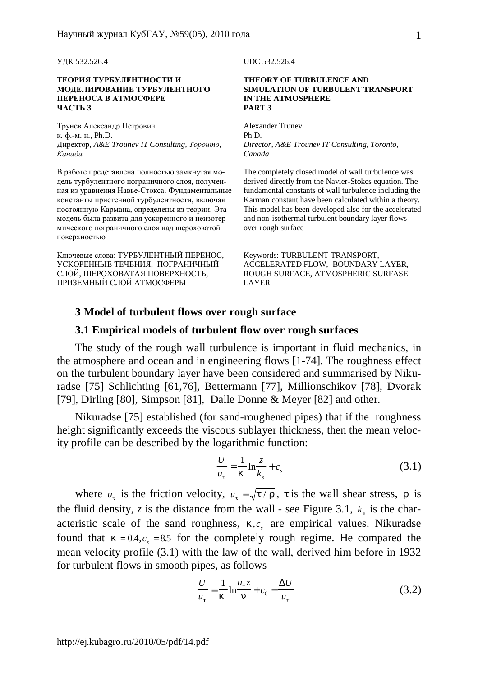УДК 532.526.4 UDC 532.526.4

#### **ТЕОРИЯ ТУРБУЛЕНТНОСТИ И МОДЕЛИРОВАНИЕ ТУРБУЛЕНТНОГО ПЕРЕНОСА В АТМОСФЕРЕ ЧАСТЬ 3**

Трунев Александр Петрович к. ф.-м. н., Ph.D. Директор, *A&E Trounev IT Consulting, Торонто, Канада*

В работе представлена полностью замкнутая модель турбулентного пограничного слоя, полученная из уравнения Навье-Стокса. Фундаментальные константы пристенной турбулентности, включая постоянную Кармана, определены из теории. Эта модель была развита для ускоренного и неизотермического пограничного слоя над шероховатой поверхностью

Ключевые слова: ТУРБУЛЕНТНЫЙ ПЕРЕНОС, УСКОРЕННЫЕ ТЕЧЕНИЯ, ПОГРАНИЧНЫЙ СЛОЙ, ШЕРОХОВАТАЯ ПОВЕРХНОСТЬ, ПРИЗЕМНЫЙ СЛОЙ АТМОСФЕРЫ

#### **THEORY OF TURBULENCE AND SIMULATION OF TURBULENT TRANSPORT IN THE ATMOSPHERE PART 3**

Alexander Trunev Ph.D. *Director, A&E Trounev IT Consulting, Toronto, Canada* 

The completely closed model of wall turbulence was derived directly from the Navier-Stokes equation. The fundamental constants of wall turbulence including the Karman constant have been calculated within a theory. This model has been developed also for the accelerated and non-isothermal turbulent boundary layer flows over rough surface

Keywords: TURBULENT TRANSPORT, ACCELERATED FLOW, BOUNDARY LAYER, ROUGH SURFACE, ATMOSPHERIC SURFASE LAYER

## **3 Model of turbulent flows over rough surface**

## **3.1 Empirical models of turbulent flow over rough surfaces**

The study of the rough wall turbulence is important in fluid mechanics, in the atmosphere and ocean and in engineering flows [1-74]. The roughness effect on the turbulent boundary layer have been considered and summarised by Nikuradse [75] Schlichting [61,76], Bettermann [77], Millionschikov [78], Dvorak [79], Dirling [80], Simpson [81], Dalle Donne & Meyer [82] and other.

Nikuradse [75] established (for sand-roughened pipes) that if the roughness height significantly exceeds the viscous sublayer thickness, then the mean velocity profile can be described by the logarithmic function:

$$
\frac{U}{u_t} = \frac{1}{k} \ln \frac{z}{k_s} + c_s \tag{3.1}
$$

where  $u_t$  is the friction velocity,  $u_t = \sqrt{t / r}$ , *t* is the wall shear stress, *r* is the fluid density, *z* is the distance from the wall - see Figure 3.1,  $k_s$  is the characteristic scale of the sand roughness,  $k,c<sub>s</sub>$  are empirical values. Nikuradse found that  $k = 0.4$ ,  $c_s = 8.5$  for the completely rough regime. He compared the mean velocity profile (3.1) with the law of the wall, derived him before in 1932 for turbulent flows in smooth pipes, as follows

$$
\frac{U}{u_t} = \frac{1}{k} \ln \frac{u_t z}{n} + c_0 - \frac{\Delta U}{u_t}
$$
 (3.2)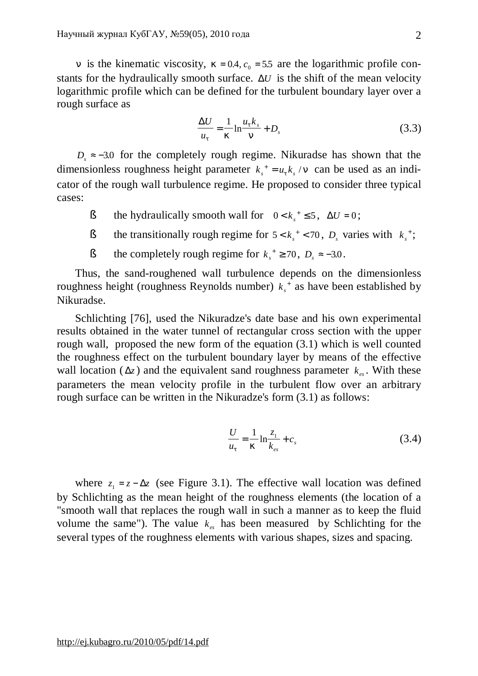*n* is the kinematic viscosity,  $k = 0.4$ ,  $c_0 = 5.5$  are the logarithmic profile constants for the hydraulically smooth surface. Δ*U* is the shift of the mean velocity logarithmic profile which can be defined for the turbulent boundary layer over a rough surface as

$$
\frac{\Delta U}{u_t} = \frac{1}{k} \ln \frac{u_t k_s}{n} + D_s \tag{3.3}
$$

 $D<sub>s</sub> \approx -3.0$  for the completely rough regime. Nikuradse has shown that the dimensionless roughness height parameter  $k_s^+ = u_t k_s / n$  can be used as an indicator of the rough wall turbulence regime. He proposed to consider three typical cases:

- **§** the hydraulically smooth wall for  $0 < k_s^+ \le 5$ ,  $\Delta U = 0$ ;
- § the transitionally rough regime for  $5 < k_s^+ < 70$ ,  $D_s$  varies with  $k_s^+$ ;
- § the completely rough regime for  $k_s^+ \ge 70$ ,  $D_s \approx -3.0$ .

Thus, the sand-roughened wall turbulence depends on the dimensionless roughness height (roughness Reynolds number)  $k_s^+$  as have been established by Nikuradse.

Schlichting [76], used the Nikuradze's date base and his own experimental results obtained in the water tunnel of rectangular cross section with the upper rough wall, proposed the new form of the equation (3.1) which is well counted the roughness effect on the turbulent boundary layer by means of the effective wall location ( $\Delta z$ ) and the equivalent sand roughness parameter  $k_{es}$ . With these parameters the mean velocity profile in the turbulent flow over an arbitrary rough surface can be written in the Nikuradze's form (3.1) as follows:

$$
\frac{U}{u_t} = \frac{1}{k} \ln \frac{z_1}{k_{es}} + c_s
$$
 (3.4)

where  $z_1 = z - \Delta z$  (see Figure 3.1). The effective wall location was defined by Schlichting as the mean height of the roughness elements (the location of a "smooth wall that replaces the rough wall in such a manner as to keep the fluid volume the same"). The value  $k_e$  has been measured by Schlichting for the several types of the roughness elements with various shapes, sizes and spacing.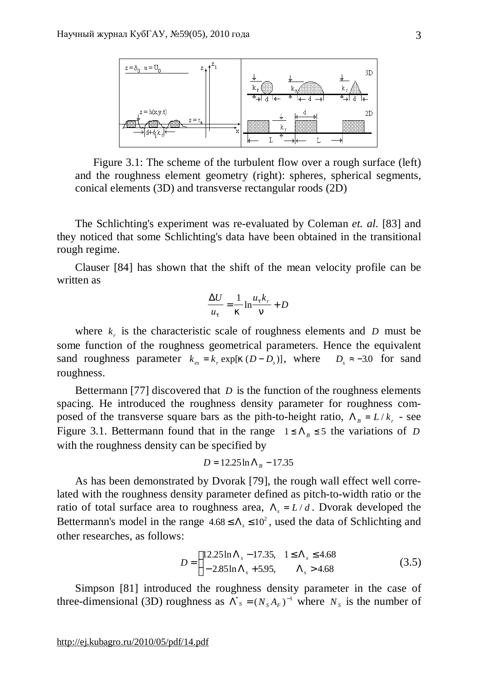

Figure 3.1: The scheme of the turbulent flow over a rough surface (left) and the roughness element geometry (right): spheres, spherical segments, conical elements (3D) and transverse rectangular roods (2D)

The Schlichting's experiment was re-evaluated by Coleman *et. al*. [83] and they noticed that some Schlichting's data have been obtained in the transitional rough regime.

Clauser [84] has shown that the shift of the mean velocity profile can be written as

$$
\frac{\Delta U}{u_t} = \frac{1}{k} \ln \frac{u_t k_r}{n} + D
$$

where  $k<sub>r</sub>$  is the characteristic scale of roughness elements and *D* must be some function of the roughness geometrical parameters. Hence the equivalent sand roughness parameter  $k_{es} = k_r \exp[k(D - D_s)]$ , where  $D_s \approx -3.0$  for sand roughness.

Bettermann [77] discovered that *D* is the function of the roughness elements spacing. He introduced the roughness density parameter for roughness composed of the transverse square bars as the pith-to-height ratio,  $\Lambda_B = L/k_r$  - see Figure 3.1. Bettermann found that in the range  $1 \leq \Lambda_B \leq 5$  the variations of *D* with the roughness density can be specified by

$$
D = 12.25 \ln \Lambda_B - 17.35
$$

As has been demonstrated by Dvorak [79], the rough wall effect well correlated with the roughness density parameter defined as pitch-to-width ratio or the ratio of total surface area to roughness area,  $\Lambda_s = L/d$ . Dvorak developed the Bettermann's model in the range  $4.68 \le \Lambda_s \le 10^2$ , used the data of Schlichting and other researches, as follows:

$$
D = \begin{cases} 12.25 \ln \Lambda_s - 17.35, & 1 \le \Lambda_s \le 4.68 \\ -2.85 \ln \Lambda_s + 5.95, & \Lambda_s > 4.68 \end{cases}
$$
(3.5)

Simpson [81] introduced the roughness density parameter in the case of three-dimensional (3D) roughness as  $\Lambda^*$ <sub>*S*</sub> =  $(N_s A_F)^{-1}$  where  $N_s$  is the number of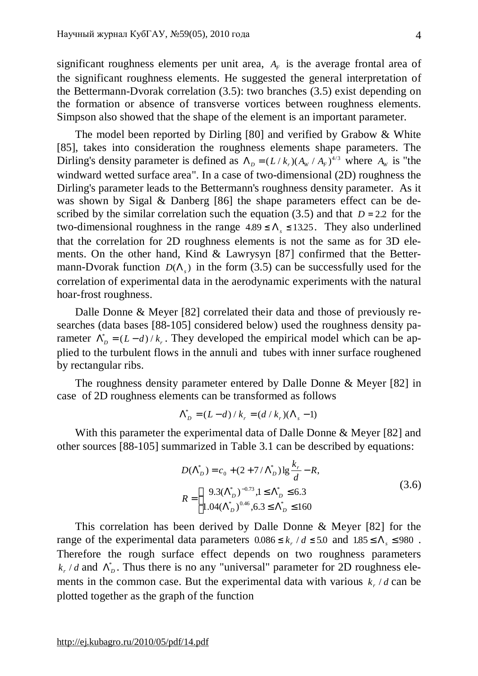significant roughness elements per unit area,  $A_F$  is the average frontal area of the significant roughness elements. He suggested the general interpretation of the Bettermann-Dvorak correlation (3.5): two branches (3.5) exist depending on the formation or absence of transverse vortices between roughness elements. Simpson also showed that the shape of the element is an important parameter.

The model been reported by Dirling [80] and verified by Grabow & White [85], takes into consideration the roughness elements shape parameters. The Dirling's density parameter is defined as  $\Lambda_D = (L/k_r)(A_W / A_F)^{4/3}$  where  $A_W$  is "the windward wetted surface area". In a case of two-dimensional (2D) roughness the Dirling's parameter leads to the Bettermann's roughness density parameter. As it was shown by Sigal & Danberg [86] the shape parameters effect can be described by the similar correlation such the equation (3.5) and that  $D = 2.2$  for the two-dimensional roughness in the range  $4.89 \le \Lambda_s \le 13.25$ . They also underlined that the correlation for 2D roughness elements is not the same as for 3D elements. On the other hand, Kind & Lawrysyn [87] confirmed that the Bettermann-Dvorak function  $D(\Lambda_s)$  in the form (3.5) can be successfully used for the correlation of experimental data in the aerodynamic experiments with the natural hoar-frost roughness.

Dalle Donne & Meyer [82] correlated their data and those of previously researches (data bases [88-105] considered below) used the roughness density parameter  $\Lambda_D^* = (L - d)/k_r$ . They developed the empirical model which can be applied to the turbulent flows in the annuli and tubes with inner surface roughened by rectangular ribs.

The roughness density parameter entered by Dalle Donne & Meyer [82] in case of 2D roughness elements can be transformed as follows

$$
\Lambda_D^* = (L - d) / k_r = (d / k_r)(\Lambda_s - 1)
$$

With this parameter the experimental data of Dalle Donne & Meyer [82] and other sources [88-105] summarized in Table 3.1 can be described by equations:

$$
D(\Lambda_D^*) = c_0 + (2 + 7/\Lambda_D^*) \lg \frac{k_r}{d} - R,
$$
  
\n
$$
R = \begin{cases} 9.3(\Lambda_D^*)^{-0.73}, 1 \le \Lambda_D^* \le 6.3\\ 1.04(\Lambda_D^*)^{-0.46}, 6.3 \le \Lambda_D^* \le 160 \end{cases}
$$
\n(3.6)

This correlation has been derived by Dalle Donne & Meyer [82] for the range of the experimental data parameters  $0.086 \le k_r / d \le 5.0$  and  $1.85 \le \Lambda_s \le 980$ . Therefore the rough surface effect depends on two roughness parameters  $k_r/d$  and  $\Lambda_D^*$ . Thus there is no any "universal" parameter for 2D roughness elements in the common case. But the experimental data with various  $k_r / d$  can be plotted together as the graph of the function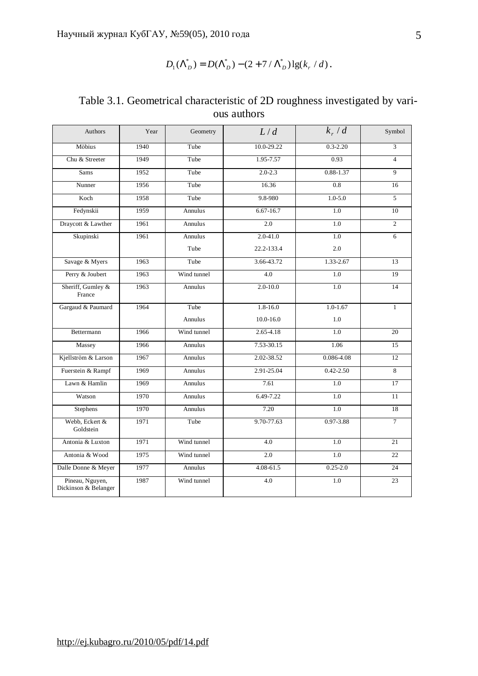$$
D_1(\Lambda_D^*) = D(\Lambda_D^*) - (2 + 7/\Lambda_D^*) \lg(k_r/d).
$$

| Authors                                 | Year | Geometry       | L/d           | $k_r/d$       | Symbol         |
|-----------------------------------------|------|----------------|---------------|---------------|----------------|
| Möbius                                  | 1940 | Tube           | 10.0-29.22    | $0.3 - 2.20$  | $\overline{3}$ |
| Chu & Streeter                          | 1949 | Tube           | 1.95-7.57     | 0.93          | $\overline{4}$ |
| <b>Sams</b>                             | 1952 | Tube           | $2.0 - 2.3$   | $0.88 - 1.37$ | 9              |
| Nunner                                  | 1956 | Tube           | 16.36         | 0.8           | 16             |
| Koch                                    | 1958 | Tube           | 9.8-980       | $1.0 - 5.0$   | 5              |
| Fedynskii                               | 1959 | <b>Annulus</b> | $6.67 - 16.7$ | 1.0           | 10             |
| Draycott & Lawther                      | 1961 | Annulus        | 2.0           | 1.0           | $\overline{2}$ |
| Skupinski                               | 1961 | Annulus        | 2.0-41.0      | 1.0           | 6              |
|                                         |      | Tube           | 22.2-133.4    | 2.0           |                |
| Savage & Myers                          | 1963 | Tube           | 3.66-43.72    | 1.33-2.67     | 13             |
| Perry & Joubert                         | 1963 | Wind tunnel    | 4.0           | 1.0           | 19             |
| Sheriff, Gumley &<br>France             | 1963 | Annulus        | $2.0 - 10.0$  | 1.0           | 14             |
| Gargaud & Paumard                       | 1964 | Tube           | $1.8 - 16.0$  | $1.0 - 1.67$  | $\mathbf{1}$   |
|                                         |      | Annulus        | $10.0 - 16.0$ | 1.0           |                |
| Bettermann                              | 1966 | Wind tunnel    | $2.65 - 4.18$ | 1.0           | 20             |
| Massey                                  | 1966 | Annulus        | 7.53-30.15    | 1.06          | 15             |
| Kjellström & Larson                     | 1967 | <b>Annulus</b> | 2.02-38.52    | 0.086-4.08    | 12             |
| Fuerstein & Rampf                       | 1969 | Annulus        | 2.91-25.04    | $0.42 - 2.50$ | 8              |
| Lawn & Hamlin                           | 1969 | Annulus        | 7.61          | 1.0           | 17             |
| Watson                                  | 1970 | Annulus        | 6.49-7.22     | 1.0           | 11             |
| Stephens                                | 1970 | Annulus        | 7.20          | 1.0           | 18             |
| Webb, Eckert &<br>Goldstein             | 1971 | Tube           | 9.70-77.63    | 0.97-3.88     | $\tau$         |
| Antonia & Luxton                        | 1971 | Wind tunnel    | 4.0           | 1.0           | 21             |
| Antonia & Wood                          | 1975 | Wind tunnel    | 2.0           | 1.0           | 22             |
| Dalle Donne & Meyer                     | 1977 | Annulus        | $4.08 - 61.5$ | $0.25 - 2.0$  | 24             |
| Pineau, Nguyen,<br>Dickinson & Belanger | 1987 | Wind tunnel    | 4.0           | 1.0           | 23             |

Table 3.1. Geometrical characteristic of 2D roughness investigated by various authors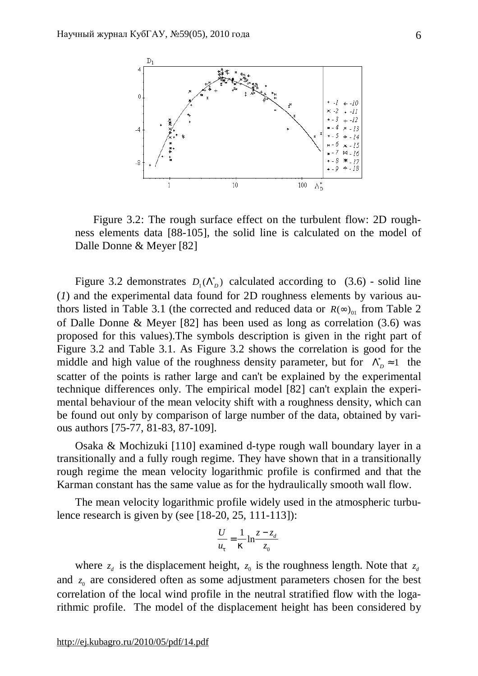

Figure 3.2: The rough surface effect on the turbulent flow: 2D roughness elements data [88-105], the solid line is calculated on the model of Dalle Donne & Meyer [82]

Figure 3.2 demonstrates  $D_1(\Lambda_p^*)$  calculated according to (3.6) - solid line (*1*) and the experimental data found for 2D roughness elements by various authors listed in Table 3.1 (the corrected and reduced data or  $R(\infty)_{01}$  from Table 2 of Dalle Donne & Meyer [82] has been used as long as correlation (3.6) was proposed for this values).The symbols description is given in the right part of Figure 3.2 and Table 3.1. As Figure 3.2 shows the correlation is good for the middle and high value of the roughness density parameter, but for  $\Lambda_D^* \approx 1$  the scatter of the points is rather large and can't be explained by the experimental technique differences only. The empirical model [82] can't explain the experimental behaviour of the mean velocity shift with a roughness density, which can be found out only by comparison of large number of the data, obtained by various authors [75-77, 81-83, 87-109].

Osaka & Mochizuki [110] examined d-type rough wall boundary layer in a transitionally and a fully rough regime. They have shown that in a transitionally rough regime the mean velocity logarithmic profile is confirmed and that the Karman constant has the same value as for the hydraulically smooth wall flow.

The mean velocity logarithmic profile widely used in the atmospheric turbulence research is given by (see [18-20, 25, 111-113]):

$$
\frac{U}{u_t} = \frac{1}{k} \ln \frac{z - z_d}{z_0}
$$

where  $z_d$  is the displacement height,  $z_0$  is the roughness length. Note that  $z_d$ and  $z_0$  are considered often as some adjustment parameters chosen for the best correlation of the local wind profile in the neutral stratified flow with the logarithmic profile. The model of the displacement height has been considered by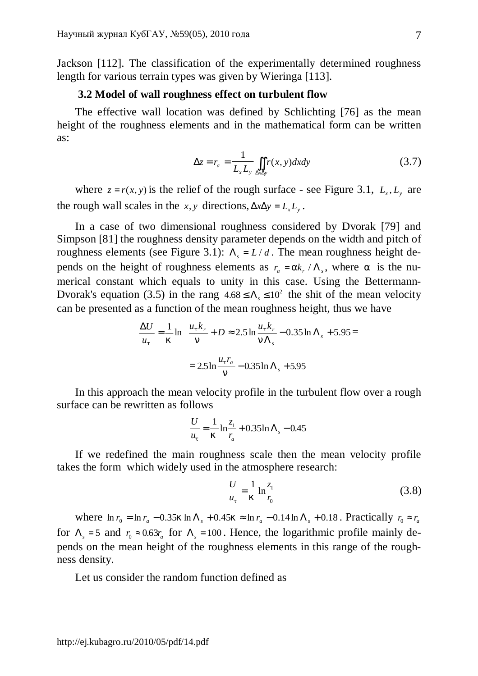Jackson [112]. The classification of the experimentally determined roughness length for various terrain types was given by Wieringa [113].

#### **3.2 Model of wall roughness effect on turbulent flow**

The effective wall location was defined by Schlichting [76] as the mean height of the roughness elements and in the mathematical form can be written as:

$$
\Delta z = r_a = \frac{1}{L_x L_y} \iint_{\Delta x \Delta y} r(x, y) dx dy
$$
 (3.7)

where  $z = r(x, y)$  is the relief of the rough surface - see Figure 3.1,  $L_x, L_y$  are the rough wall scales in the *x*, *y* directions,  $\Delta x \Delta y = L_x L_y$ .

In a case of two dimensional roughness considered by Dvorak [79] and Simpson [81] the roughness density parameter depends on the width and pitch of roughness elements (see Figure 3.1):  $\Lambda$ <sub>s</sub> = *L/d*. The mean roughness height depends on the height of roughness elements as  $r_a = ak_r / \Lambda_s$ , where *a* is the numerical constant which equals to unity in this case. Using the Bettermann-Dvorak's equation (3.5) in the rang  $4.68 \le \Lambda_s \le 10^2$  the shit of the mean velocity can be presented as a function of the mean roughness height, thus we have

$$
\frac{\Delta U}{u_t} = \frac{1}{k} \ln \frac{u_t k_r}{n} + D \approx 2.5 \ln \frac{u_t k_r}{n \Lambda_s} - 0.35 \ln \Lambda_s + 5.95 =
$$

$$
= 2.5 \ln \frac{u_t r_a}{n} - 0.35 \ln \Lambda_s + 5.95
$$

In this approach the mean velocity profile in the turbulent flow over a rough surface can be rewritten as follows

$$
\frac{U}{u_t} = \frac{1}{k} \ln \frac{z_1}{r_a} + 0.35 \ln \Lambda_s - 0.45
$$

If we redefined the main roughness scale then the mean velocity profile takes the form which widely used in the atmosphere research:

$$
\frac{U}{u_t} = \frac{1}{k} \ln \frac{z_1}{r_0}
$$
 (3.8)

where  $\ln r_0 = \ln r_a - 0.35k \ln \Lambda_s + 0.45k \approx \ln r_a - 0.14 \ln \Lambda_s + 0.18$ . Practically  $r_0 \approx r_a$ for  $\Lambda_s = 5$  and  $r_0 \approx 0.63 r_a$  for  $\Lambda_s = 100$ . Hence, the logarithmic profile mainly depends on the mean height of the roughness elements in this range of the roughness density.

Let us consider the random function defined as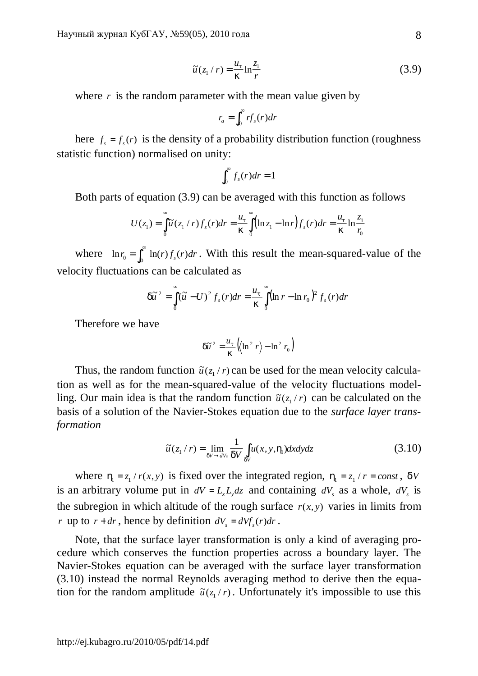$$
\tilde{u}(z_1/r) = \frac{u_t}{k} \ln \frac{z_1}{r}
$$
\n(3.9)

where  $r$  is the random parameter with the mean value given by

$$
r_a = \int_0^\infty r f_s(r) dr
$$

here  $f_s = f_s(r)$  is the density of a probability distribution function (roughness statistic function) normalised on unity:

$$
\int_0^\infty f_s(r)dr=1
$$

Both parts of equation (3.9) can be averaged with this function as follows

$$
U(z_1) = \int_{0}^{\infty} \tilde{u}(z_1 / r) f_s(r) dr = \frac{u_t}{k} \int_{0}^{\infty} (\ln z_1 - \ln r) f_s(r) dr = \frac{u_t}{k} \ln \frac{z_1}{r_0}
$$

where  $\ln r_0 = \int_0^\infty \ln(r) f_s(r) dr$ . With this result the mean-squared-value of the velocity fluctuations can be calculated as

$$
d\widetilde{u}^2 = \int_0^{\infty} (\widetilde{u} - U)^2 f_s(r) dr = \frac{u_t}{k} \int_0^{\infty} (\ln r - \ln r_0)^2 f_s(r) dr
$$

Therefore we have

$$
d\widetilde{u}^2 = \frac{u_t}{k} \left( \left\langle \ln^2 r \right\rangle - \ln^2 r_0 \right)
$$

Thus, the random function  $\tilde{u}(z_1/r)$  can be used for the mean velocity calculation as well as for the mean-squared-value of the velocity fluctuations modelling. Our main idea is that the random function  $\tilde{u}(z_1/r)$  can be calculated on the basis of a solution of the Navier-Stokes equation due to the *surface layer transformation*

$$
\widetilde{u}(z_1/r) = \lim_{dV \to dV_s} \frac{1}{dV} \int_{dV} u(x, y, h_1) dx dy dz
$$
\n(3.10)

where  $h_1 = z_1 / r(x, y)$  is fixed over the integrated region,  $h_1 = z_1 / r = const$ , *dV* is an arbitrary volume put in  $dV = L_x L_y dz$  and containing  $dV_s$  as a whole,  $dV_s$  is the subregion in which altitude of the rough surface  $r(x, y)$  varies in limits from *r* up to  $r + dr$ , hence by definition  $dV_s = dVf_s(r)dr$ .

Note, that the surface layer transformation is only a kind of averaging procedure which conserves the function properties across a boundary layer. The Navier-Stokes equation can be averaged with the surface layer transformation (3.10) instead the normal Reynolds averaging method to derive then the equation for the random amplitude  $\tilde{u}(z_1/r)$ . Unfortunately it's impossible to use this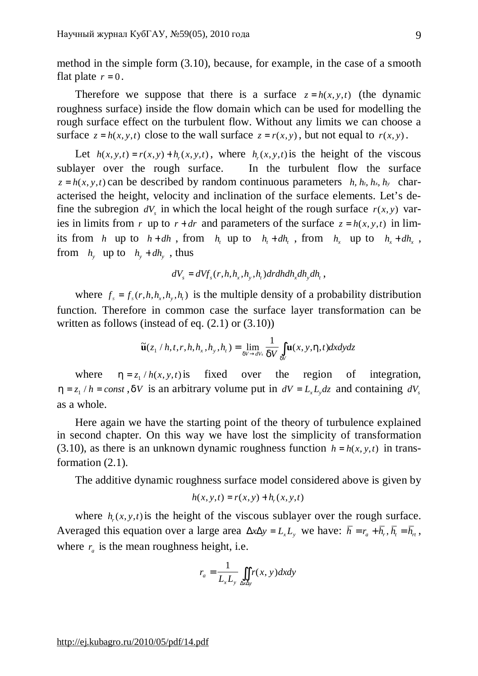method in the simple form (3.10), because, for example, in the case of a smooth flat plate  $r = 0$ .

Therefore we suppose that there is a surface  $z = h(x, y, t)$  (the dynamic roughness surface) inside the flow domain which can be used for modelling the rough surface effect on the turbulent flow. Without any limits we can choose a surface  $z = h(x, y, t)$  close to the wall surface  $z = r(x, y)$ , but not equal to  $r(x, y)$ .

Let  $h(x, y, t) = r(x, y) + h_r(x, y, t)$ , where  $h_r(x, y, t)$  is the height of the viscous sublayer over the rough surface. In the turbulent flow the surface  $z = h(x, y, t)$  can be described by random continuous parameters *h, h<sub>t</sub>, h<sub>x</sub>, h<sub>y</sub>* characterised the height, velocity and inclination of the surface elements. Let's define the subregion  $dV$ <sub>*s*</sub> in which the local height of the rough surface  $r(x, y)$  varies in limits from *r* up to  $r + dr$  and parameters of the surface  $z = h(x, y, t)$  in limits from *h* up to  $h + dh$ , from  $h_t$  up to  $h_t + dh_t$ , from  $h_x$  up to  $h_x + dh_x$ , from  $h_y$  up to  $h_y + dh_y$ , thus

$$
dV_s = dVf_s(r, h, h_x, h_y, h_t) dr dh dh_x dh_y dh_t,
$$

where  $f_s = f_s(r, h, h_x, h_y, h_t)$  is the multiple density of a probability distribution function. Therefore in common case the surface layer transformation can be written as follows (instead of eq.  $(2.1)$  or  $(3.10)$ )

$$
\widetilde{\mathbf{u}}(z_1/h, t, r, h, h_x, h_y, h_t) = \lim_{dV \to dV_s} \frac{1}{dV} \int_{dV} \mathbf{u}(x, y, h, t) dx dy dz
$$

where  $h = z_1 / h(x, y, t)$  is fixed over the region of integration,  $h = z_1 / h = const$ , *dV* is an arbitrary volume put in  $dV = L_x L_y dz$  and containing  $dV_s$ as a whole.

Here again we have the starting point of the theory of turbulence explained in second chapter. On this way we have lost the simplicity of transformation (3.10), as there is an unknown dynamic roughness function  $h = h(x, y, t)$  in transformation  $(2.1)$ .

The additive dynamic roughness surface model considered above is given by

$$
h(x, y, t) = r(x, y) + hr(x, y, t)
$$

where  $h_r(x, y, t)$  is the height of the viscous sublayer over the rough surface. Averaged this equation over a large area  $\Delta x \Delta y = L_x L_y$ , we have:  $\bar{h} = r_a + \bar{h}_r$ ,  $\bar{h}_t = \bar{h}_t$ , where  $r_a$  is the mean roughness height, i.e.

$$
r_a = \frac{1}{L_x L_y} \iint_{\Delta x \Delta y} r(x, y) dx dy
$$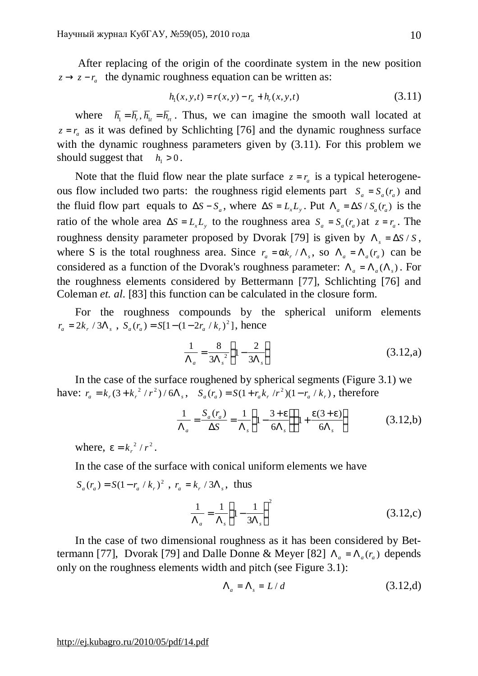After replacing of the origin of the coordinate system in the new position  $z \rightarrow z - r_a$  the dynamic roughness equation can be written as:

$$
h_1(x, y, t) = r(x, y) - r_a + h_r(x, y, t)
$$
\n(3.11)

where  $\bar{h}_1 = \bar{h}_1$ ,  $\bar{h}_{1t} = \bar{h}_{rt}$ . Thus, we can imagine the smooth wall located at  $z = r_a$  as it was defined by Schlichting [76] and the dynamic roughness surface with the dynamic roughness parameters given by  $(3.11)$ . For this problem we should suggest that  $h_1 > 0$ .

Note that the fluid flow near the plate surface  $z = r_a$  is a typical heterogeneous flow included two parts: the roughness rigid elements part  $S_a = S_a(r_a)$  and the fluid flow part equals to  $\Delta S - S_a$ , where  $\Delta S = L_x L_y$ . Put  $\Lambda_a = \Delta S / S_a(r_a)$  is the ratio of the whole area  $\Delta S = L_x L_y$  to the roughness area  $S_a = S_a(r_a)$  at  $z = r_a$ . The roughness density parameter proposed by Dvorak [79] is given by  $\Lambda$ <sub>s</sub> =  $\Delta S / S$ , where S is the total roughness area. Since  $r_a = ak_r / \Lambda_s$ , so  $\Lambda_a = \Lambda_a(r_a)$  can be considered as a function of the Dvorak's roughness parameter:  $\Lambda_a = \Lambda_a(\Lambda_s)$ . For the roughness elements considered by Bettermann [77], Schlichting [76] and Coleman *et. al*. [83] this function can be calculated in the closure form.

For the roughness compounds by the spherical uniform elements  $r_a = 2k_r / 3\Lambda_s$ ,  $S_a(r_a) = S[1-(1-2r_a / k_r)^2]$ , hence

$$
\frac{1}{\Lambda_a} = \frac{8}{3\Lambda_s^2} \left( 1 - \frac{2}{3\Lambda_s} \right)
$$
 (3.12,a)

In the case of the surface roughened by spherical segments (Figure 3.1) we have:  $r_a = k_r(3 + k_r^2/r^2)/6\Lambda_s$ ,  $S_a(r_a) = S(1 + r_a k_r/r^2)(1 - r_a / k_r)$ , therefore

$$
\frac{1}{\Lambda_a} = \frac{S_a(r_a)}{\Delta S} = \frac{1}{\Lambda_s} \left( 1 - \frac{3 + e}{6\Lambda_s} \right) \left( 1 + \frac{e(3 + e)}{6\Lambda_s} \right) \tag{3.12,b}
$$

where,  $e = k_r^2 / r^2$ .

In the case of the surface with conical uniform elements we have

$$
S_a(r_a) = S(1 - r_a / k_r)^2
$$
,  $r_a = k_r / 3\Lambda_s$ , thus

$$
\frac{1}{\Lambda_a} = \frac{1}{\Lambda_s} \left( 1 - \frac{1}{3\Lambda_s} \right)^2 \tag{3.12,c}
$$

In the case of two dimensional roughness as it has been considered by Bettermann [77], Dvorak [79] and Dalle Donne & Meyer [82]  $\Lambda_a = \Lambda_a(r_a)$  depends only on the roughness elements width and pitch (see Figure 3.1):

$$
\Lambda_a = \Lambda_s = L/d \tag{3.12,d}
$$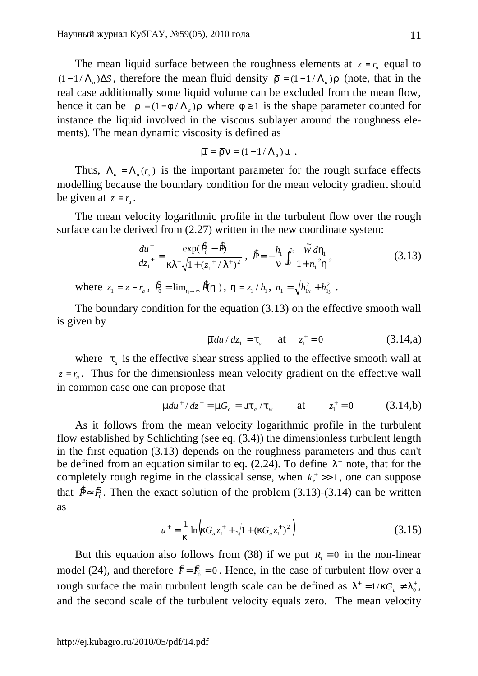The mean liquid surface between the roughness elements at  $z = r_a$  equal to  $(1-1/\Lambda_a)$ ∆*S*, therefore the mean fluid density  $\bar{r} = (1-1/\Lambda_a)r$  (note, that in the real case additionally some liquid volume can be excluded from the mean flow, hence it can be  $\bar{r} = (1 - f / \Lambda_a)r$  where  $f \ge 1$  is the shape parameter counted for instance the liquid involved in the viscous sublayer around the roughness elements). The mean dynamic viscosity is defined as

$$
\overline{m} = \overline{r} n = (1 - 1/\Lambda_a) m .
$$

Thus,  $\Lambda_a = \Lambda_a(r_a)$  is the important parameter for the rough surface effects modelling because the boundary condition for the mean velocity gradient should be given at  $z = r_a$ .

The mean velocity logarithmic profile in the turbulent flow over the rough surface can be derived from  $(2.27)$  written in the new coordinate system:

$$
\frac{du^+}{dz_1^+} = \frac{\exp(\hat{\mathbf{B}}_0 - \hat{\mathbf{B}})}{kl^+ \sqrt{1 + (z_1^+ / l^+)^2}}, \ \hat{\mathbf{B}} = -\frac{h_1}{n} \int_0^{h_1} \frac{\tilde{W} dh_1}{1 + n_1^2 h^2}
$$
(3.13)

where  $z_1 = z - r_a$ ,  $\hat{R}_0 = \lim_{h \to \infty} \hat{R}(h)$ ,  $h = z_1 / h_1$ ,  $n_1 = \sqrt{h_{1x}^2 + h_{1y}^2}$ 1  $=\sqrt{h_{1x}^2+h_{1y}^2}$ .

The boundary condition for the equation (3.13) on the effective smooth wall is given by

$$
\overline{m}du/dz_1 = t_a
$$
 at  $z_1^+ = 0$  (3.14,a)

where  $t_a$  is the effective shear stress applied to the effective smooth wall at  $z = r_a$ . Thus for the dimensionless mean velocity gradient on the effective wall in common case one can propose that

$$
\overline{m}du^{+}/dz^{+} = \overline{m}G_{a} = mt_{a}/t_{w}
$$
 at  $z_{1}^{+} = 0$  (3.14,b)

As it follows from the mean velocity logarithmic profile in the turbulent flow established by Schlichting (see eq. (3.4)) the dimensionless turbulent length in the first equation (3.13) depends on the roughness parameters and thus can't be defined from an equation similar to eq.  $(2.24)$ . To define  $1^+$  note, that for the completely rough regime in the classical sense, when  $k_r^+ \gg 1$ , one can suppose that  $\hat{P} \approx \hat{P}_0$ . Then the exact solution of the problem (3.13)-(3.14) can be written as

$$
u^{+} = \frac{1}{k} \ln \left( kG_a z_1^{+} + \sqrt{1 + (kG_a z_1^{+})^2} \right)
$$
 (3.15)

But this equation also follows from (38) if we put  $R<sub>t</sub> = 0$  in the non-linear model (24), and therefore  $\hat{F} = \hat{F}_0 = 0$ . Hence, in the case of turbulent flow over a rough surface the main turbulent length scale can be defined as  $I^+ = 1/kG_a \neq I_0^+$ , and the second scale of the turbulent velocity equals zero. The mean velocity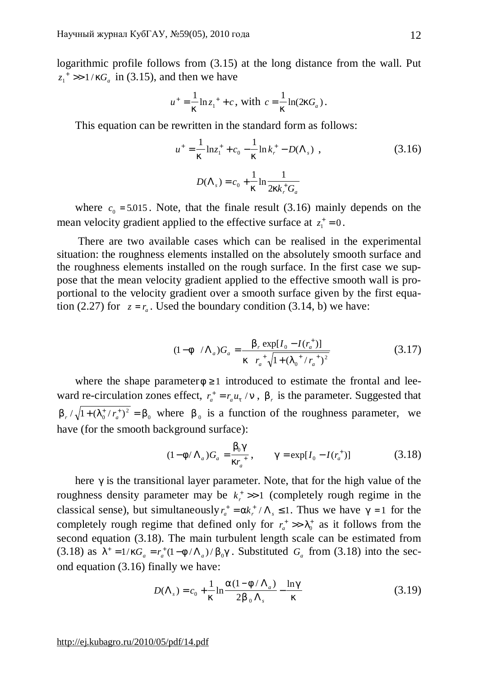logarithmic profile follows from (3.15) at the long distance from the wall. Put  $z_1^* \gg 1/kG_a$  in (3.15), and then we have

$$
u^{+} = \frac{1}{k} \ln z_1^{+} + c
$$
, with  $c = \frac{1}{k} \ln(2kG_a)$ .

This equation can be rewritten in the standard form as follows:

$$
u^{+} = \frac{1}{k} \ln z_{1}^{+} + c_{0} - \frac{1}{k} \ln k_{r}^{+} - D(\Lambda_{s}) ,
$$
\n
$$
D(\Lambda_{s}) = c_{0} + \frac{1}{k} \ln \frac{1}{2kk_{r}^{+}G_{a}}
$$
\n(3.16)

where  $c_0 = 5.015$ . Note, that the finale result (3.16) mainly depends on the mean velocity gradient applied to the effective surface at  $z_1^+ = 0$ .

There are two available cases which can be realised in the experimental situation: the roughness elements installed on the absolutely smooth surface and the roughness elements installed on the rough surface. In the first case we suppose that the mean velocity gradient applied to the effective smooth wall is proportional to the velocity gradient over a smooth surface given by the first equation (2.27) for  $z = r_a$ . Used the boundary condition (3.14, b) we have:

$$
(1 - f / \Lambda_a)G_a = \frac{b_r \exp[I_0 - I(r_a^+)]}{k_r \pi_a^+ \sqrt{1 + (I_0^+ / r_a^+)^2}}
$$
(3.17)

where the shape parameter  $f \geq 1$  introduced to estimate the frontal and leeward re-circulation zones effect,  $r_a^+ = r_a u_t / n$ ,  $b_r$  is the parameter. Suggested that 0  $b_r / \sqrt{1 + (l_0^+ / r_a^+)^2} = b$  $r \sqrt{1 + (I_0^+ / r_a^+)^2} = b_0$  where  $b_0$  is a function of the roughness parameter, we have (for the smooth background surface):

$$
(1 - f/\Lambda_a)G_a = \frac{b_0 g}{kr_a^+}, \qquad g = \exp[I_0 - I(r_a^+)] \tag{3.18}
$$

here *g* is the transitional layer parameter. Note, that for the high value of the roughness density parameter may be  $k_r^+ >> 1$  (completely rough regime in the classical sense), but simultaneously  $r_a^+ = ak_r^+ / \Lambda_s \le 1$ . Thus we have  $g = 1$  for the completely rough regime that defined only for  $r_a^+ \gg l_0^+$  as it follows from the second equation (3.18). The main turbulent length scale can be estimated from (3.18) as  $I^+ = 1/kG_a = r_a^+ (1 - f / \Lambda_a) / b_0 g$ . Substituted  $G_a$  from (3.18) into the second equation (3.16) finally we have:

$$
D(\Lambda_s) = c_0 + \frac{1}{k} \ln \frac{a(1 - f/\Lambda_a)}{2b_0 \Lambda_s} - \frac{\ln g}{k}
$$
 (3.19)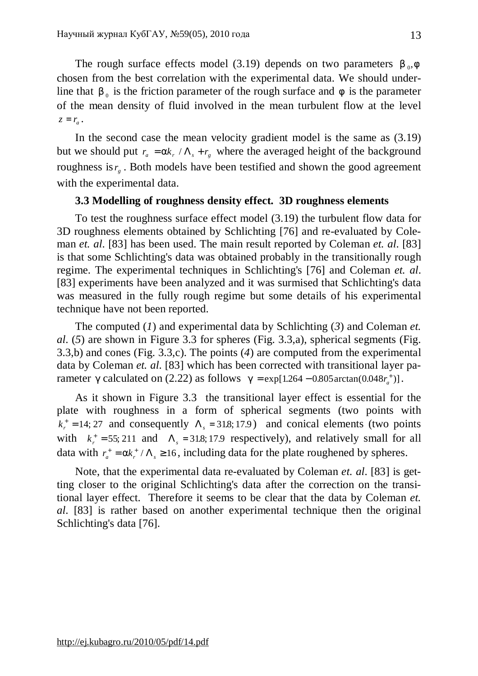The rough surface effects model (3.19) depends on two parameters  $b_{0}$ ,  $f$ chosen from the best correlation with the experimental data. We should underline that  $b_0$  is the friction parameter of the rough surface and  $f$  is the parameter of the mean density of fluid involved in the mean turbulent flow at the level  $z = r_a$ .

In the second case the mean velocity gradient model is the same as (3.19) but we should put  $r_a = ak_r / \Lambda_s + r_g$  where the averaged height of the background roughness is  $r<sub>g</sub>$ . Both models have been testified and shown the good agreement with the experimental data.

## **3.3 Modelling of roughness density effect. 3D roughness elements**

To test the roughness surface effect model (3.19) the turbulent flow data for 3D roughness elements obtained by Schlichting [76] and re-evaluated by Coleman *et. al*. [83] has been used. The main result reported by Coleman *et. al*. [83] is that some Schlichting's data was obtained probably in the transitionally rough regime. The experimental techniques in Schlichting's [76] and Coleman *et. al*. [83] experiments have been analyzed and it was surmised that Schlichting's data was measured in the fully rough regime but some details of his experimental technique have not been reported.

The computed (*1*) and experimental data by Schlichting (*3*) and Coleman *et. al*. (*5*) are shown in Figure 3.3 for spheres (Fig. 3.3,a), spherical segments (Fig. 3.3,b) and cones (Fig. 3.3,c). The points (*4*) are computed from the experimental data by Coleman *et. al*. [83] which has been corrected with transitional layer parameter *g* calculated on (2.22) as follows  $g = \exp[1.264 - 0.805 \arctan(0.048r_a^+)]$ .

As it shown in Figure 3.3 the transitional layer effect is essential for the plate with roughness in a form of spherical segments (two points with  $k_r^+$  = 14; 27 and consequently  $\Lambda_s$  = 31.8; 17.9) and conical elements (two points with  $k_r^+ = 55$ ; 211 and  $\Lambda_s = 31.8$ ; 17.9 respectively), and relatively small for all data with  $r_a^+ = a k_r^+ / \Lambda_s \ge 16$ , including data for the plate roughened by spheres.

Note, that the experimental data re-evaluated by Coleman *et. al*. [83] is getting closer to the original Schlichting's data after the correction on the transitional layer effect. Therefore it seems to be clear that the data by Coleman *et. al*. [83] is rather based on another experimental technique then the original Schlichting's data [76].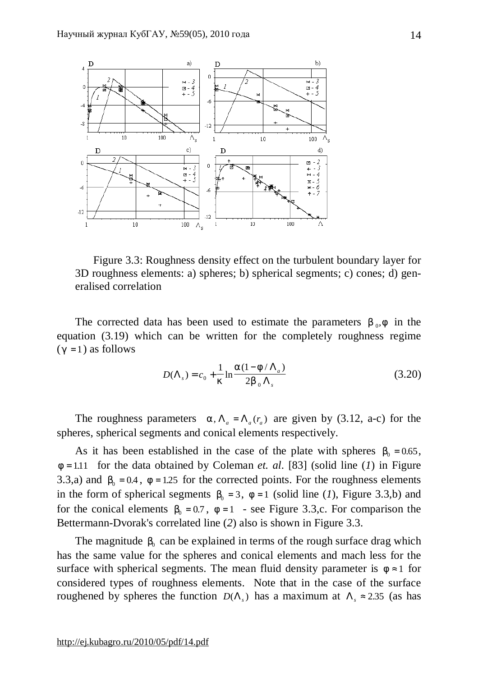

Figure 3.3: Roughness density effect on the turbulent boundary layer for 3D roughness elements: a) spheres; b) spherical segments; c) cones; d) generalised correlation

The corrected data has been used to estimate the parameters  $b_{0}$ , f in the equation (3.19) which can be written for the completely roughness regime  $(g = 1)$  as follows

$$
D(\Lambda_s) = c_0 + \frac{1}{k} \ln \frac{a(1 - f/\Lambda_a)}{2b_0 \Lambda_s}
$$
 (3.20)

The roughness parameters  $a, \Lambda_a = \Lambda_a(r_a)$  are given by (3.12, a-c) for the spheres, spherical segments and conical elements respectively.

As it has been established in the case of the plate with spheres  $b_0 = 0.65$ , *f* = 1.11 for the data obtained by Coleman *et. al*. [83] (solid line (*1*) in Figure 3.3,a) and  $b_0 = 0.4$ ,  $f = 1.25$  for the corrected points. For the roughness elements in the form of spherical segments  $b_0 = 3$ ,  $f = 1$  (solid line (*1*), Figure 3.3,b) and for the conical elements  $b_0 = 0.7$ ,  $f = 1$  - see Figure 3.3,c. For comparison the Bettermann-Dvorak's correlated line (*2*) also is shown in Figure 3.3.

The magnitude  $b_0$  can be explained in terms of the rough surface drag which has the same value for the spheres and conical elements and mach less for the surface with spherical segments. The mean fluid density parameter is  $f \approx 1$  for considered types of roughness elements. Note that in the case of the surface roughened by spheres the function  $D(\Lambda_s)$  has a maximum at  $\Lambda_s \approx 2.35$  (as has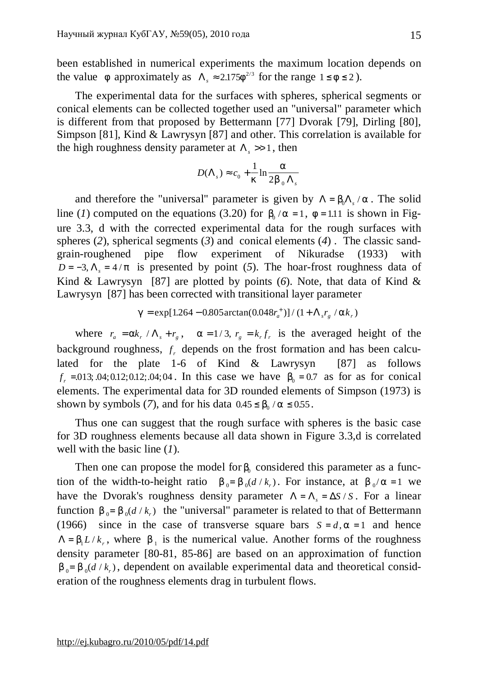been established in numerical experiments the maximum location depends on the value *f* approximately as  $\Lambda_s \approx 2.175 f^{2/3}$  for the range  $1 \le f \le 2$ ).

The experimental data for the surfaces with spheres, spherical segments or conical elements can be collected together used an "universal" parameter which is different from that proposed by Bettermann [77] Dvorak [79], Dirling [80], Simpson [81], Kind & Lawrysyn [87] and other. This correlation is available for the high roughness density parameter at  $\Lambda$ ,  $\gg$  1, then

$$
D(\Lambda_s) \approx c_0 + \frac{1}{k} \ln \frac{a}{2b_0 \Lambda_s}
$$

and therefore the "universal" parameter is given by  $\Lambda = b_0 \Lambda_s / a$ . The solid line (*1*) computed on the equations (3.20) for  $b_0 / a = 1$ ,  $f = 1.11$  is shown in Figure 3.3, d with the corrected experimental data for the rough surfaces with spheres (*2*), spherical segments (*3*) and conical elements (*4*) . The classic sandgrain-roughened pipe flow experiment of Nikuradse (1933) with *D* = −3,  $\Lambda$ <sub>s</sub> = 4/*p* is presented by point (5). The hoar-frost roughness data of Kind & Lawrysyn [87] are plotted by points (*6*). Note, that data of Kind & Lawrysyn [87] has been corrected with transitional layer parameter

$$
g = \exp[1.264 - 0.805 \arctan(0.048r_a^+)] / (1 + \Lambda_s r_g / ak_r)
$$

where  $r_a = ak_r / \Lambda_s + r_g$ ,  $a = 1/3$ ,  $r_g = k_r f_r$  is the averaged height of the background roughness,  $f<sub>r</sub>$  depends on the frost formation and has been calculated for the plate 1-6 of Kind & Lawrysyn [87] as follows  $f_r = 0.013; 0.04; 0.012; 0.012; 0.04; 0.04$ . In this case we have  $b_0 = 0.7$  as for as for conical elements. The experimental data for 3D rounded elements of Simpson (1973) is shown by symbols (7), and for his data  $0.45 \le b_0 / a \le 0.55$ .

Thus one can suggest that the rough surface with spheres is the basic case for 3D roughness elements because all data shown in Figure 3.3,d is correlated well with the basic line (*1*).

Then one can propose the model for  $b_0$  considered this parameter as a function of the width-to-height ratio  $b_0 = b_0(d/k_r)$ . For instance, at  $b_0/a = 1$  we have the Dvorak's roughness density parameter  $\Lambda = \Lambda_s = \Delta S / S$ . For a linear function  $b_0 = b_0(d/k_r)$  the "universal" parameter is related to that of Bettermann (1966) since in the case of transverse square bars  $S = d$ ,  $a = 1$  and hence  $\Lambda = b_1 L/k_r$ , where  $b_1$  is the numerical value. Another forms of the roughness density parameter [80-81, 85-86] are based on an approximation of function  $b_0 = b_0(d/k_r)$ , dependent on available experimental data and theoretical consideration of the roughness elements drag in turbulent flows.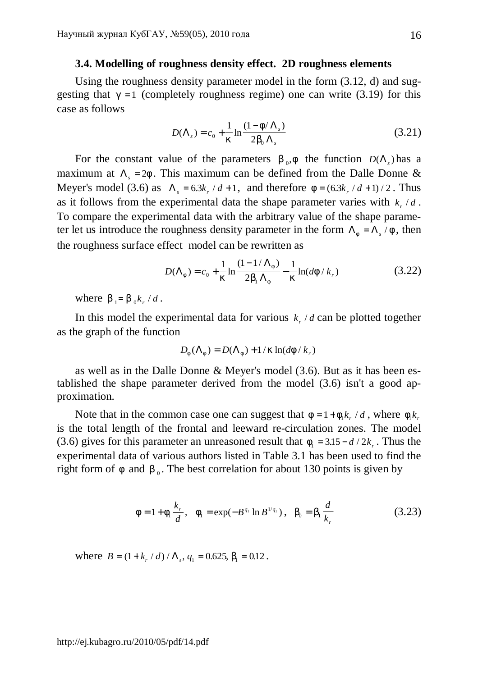#### **3.4. Modelling of roughness density effect. 2D roughness elements**

Using the roughness density parameter model in the form (3.12, d) and suggesting that  $g = 1$  (completely roughness regime) one can write (3.19) for this case as follows

$$
D(\Lambda_s) = c_0 + \frac{1}{k} \ln \frac{(1 - f/\Lambda_s)}{2b_0 \Lambda_s}
$$
 (3.21)

For the constant value of the parameters  $b_0$ , f the function  $D(\Lambda_s)$  has a maximum at  $\Lambda$ <sub>s</sub> = 2*f*. This maximum can be defined from the Dalle Donne & Meyer's model (3.6) as  $\Lambda_s = 6.3k_r / d + 1$ , and therefore  $f = (6.3k_r / d + 1) / 2$ . Thus as it follows from the experimental data the shape parameter varies with  $k_r/d$ . To compare the experimental data with the arbitrary value of the shape parameter let us introduce the roughness density parameter in the form  $\Lambda_f = \Lambda_s / f$ , then the roughness surface effect model can be rewritten as

$$
D(\Lambda_f) = c_0 + \frac{1}{k} \ln \frac{(1 - 1/\Lambda_f)}{2b_1 \Lambda_f} - \frac{1}{k} \ln(df/k_r)
$$
 (3.22)

where  $b_1 = b_0 k_r / d$ .

In this model the experimental data for various  $k_r/d$  can be plotted together as the graph of the function

$$
D_f(\Lambda_f) = D(\Lambda_f) + 1/k \ln(df/k_r)
$$

as well as in the Dalle Donne & Meyer's model (3.6). But as it has been established the shape parameter derived from the model (3.6) isn't a good approximation.

Note that in the common case one can suggest that  $f = 1 + f_1 k_r / d$ , where  $f_1 k_r$ is the total length of the frontal and leeward re-circulation zones. The model (3.6) gives for this parameter an unreasoned result that  $f_1 = 3.15 - d/2k_r$ . Thus the experimental data of various authors listed in Table 3.1 has been used to find the right form of  $f$  and  $b_0$ . The best correlation for about 130 points is given by

$$
f = 1 + f_1 \frac{k_r}{d}, \quad f_1 = \exp(-B^{q_1} \ln B^{1/q_1}), \quad b_0 = b_1 \frac{d}{k_r}
$$
 (3.23)

where  $B = (1 + k_r / d) / \Lambda_s$ ,  $q_1 = 0.625$ ,  $b_1 = 0.12$ .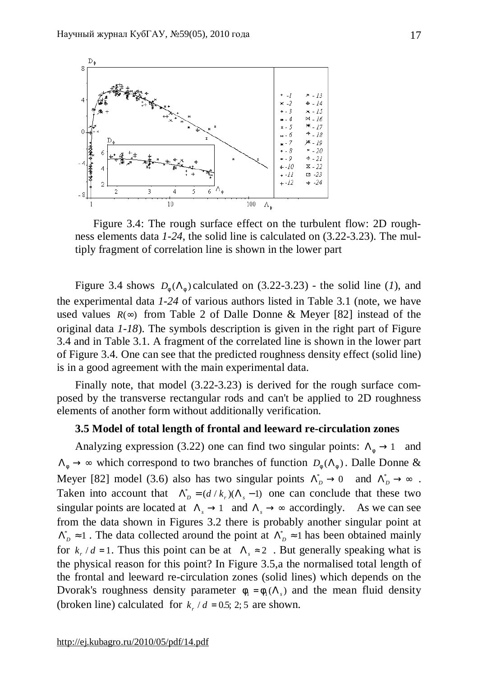

Figure 3.4: The rough surface effect on the turbulent flow: 2D roughness elements data *1-24*, the solid line is calculated on (3.22-3.23). The multiply fragment of correlation line is shown in the lower part

Figure 3.4 shows  $D_f(\Lambda_f)$  calculated on (3.22-3.23) - the solid line (*1*), and the experimental data *1-24* of various authors listed in Table 3.1 (note, we have used values  $R(\infty)$  from Table 2 of Dalle Donne & Meyer [82] instead of the original data *1-18*). The symbols description is given in the right part of Figure 3.4 and in Table 3.1. A fragment of the correlated line is shown in the lower part of Figure 3.4. One can see that the predicted roughness density effect (solid line) is in a good agreement with the main experimental data.

Finally note, that model (3.22-3.23) is derived for the rough surface composed by the transverse rectangular rods and can't be applied to 2D roughness elements of another form without additionally verification.

# **3.5 Model of total length of frontal and leeward re-circulation zones**

Analyzing expression (3.22) one can find two singular points:  $\Lambda_f \rightarrow 1$  and  $\Lambda_f \to \infty$  which correspond to two branches of function  $D_f(\Lambda_f)$ . Dalle Donne & Meyer [82] model (3.6) also has two singular points  $\Lambda_D^* \to 0$  and  $\Lambda_D^* \to \infty$ . Taken into account that  $\Lambda_D^* = (d / k_r)(\Lambda_s - 1)$  one can conclude that these two singular points are located at  $\Lambda_s \to 1$  and  $\Lambda_s \to \infty$  accordingly. As we can see from the data shown in Figures 3.2 there is probably another singular point at  $\Lambda_D^* \approx 1$ . The data collected around the point at  $\Lambda_D^* \approx 1$  has been obtained mainly for  $k_r/d = 1$ . Thus this point can be at  $\Lambda_s \approx 2$ . But generally speaking what is the physical reason for this point? In Figure 3.5,a the normalised total length of the frontal and leeward re-circulation zones (solid lines) which depends on the Dvorak's roughness density parameter  $f_1 = f_1(\Lambda_s)$  and the mean fluid density (broken line) calculated for  $k_r/d = 0.5$ ; 2; 5 are shown.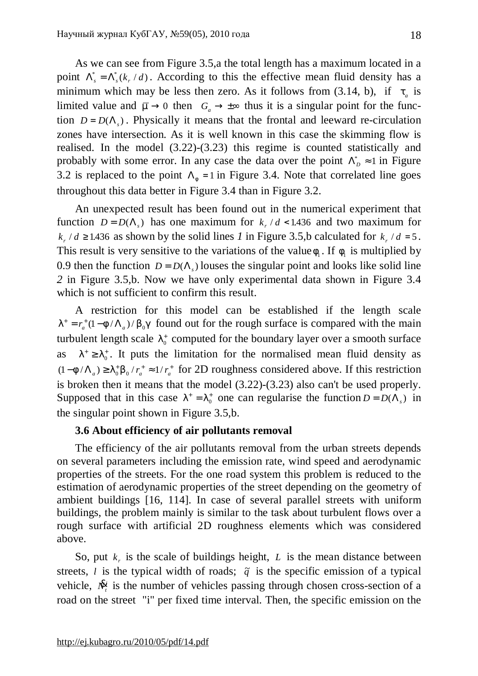As we can see from Figure 3.5,a the total length has a maximum located in a point  $\Lambda_s^* = \Lambda_s^* (k_r / d)$ . According to this the effective mean fluid density has a minimum which may be less then zero. As it follows from  $(3.14, b)$ , if  $t_a$  is limited value and  $\overline{m} \to 0$  then  $G_a \to \pm \infty$  thus it is a singular point for the function  $D = D(\Lambda_s)$ . Physically it means that the frontal and leeward re-circulation zones have intersection. As it is well known in this case the skimming flow is realised. In the model (3.22)-(3.23) this regime is counted statistically and probably with some error. In any case the data over the point  $\Lambda_D^* \approx 1$  in Figure 3.2 is replaced to the point  $\Lambda_f = 1$  in Figure 3.4. Note that correlated line goes throughout this data better in Figure 3.4 than in Figure 3.2.

An unexpected result has been found out in the numerical experiment that function  $D = D(\Lambda_s)$  has one maximum for  $k_r/d < 1.436$  and two maximum for  $k_r/d \ge 1.436$  as shown by the solid lines *1* in Figure 3.5,b calculated for  $k_r/d = 5$ . This result is very sensitive to the variations of the value  $f_1$ . If  $f_1$  is multiplied by 0.9 then the function  $D = D(\Lambda_s)$  louses the singular point and looks like solid line *2* in Figure 3.5,b. Now we have only experimental data shown in Figure 3.4 which is not sufficient to confirm this result.

A restriction for this model can be established if the length scale  $I^+ = r_a^+ (1 - f / \Lambda_a) / b_0 g$  found out for the rough surface is compared with the main turbulent length scale  $I_0^+$  computed for the boundary layer over a smooth surface as  $l^+ \geq l_0^+$ . It puts the limitation for the normalised mean fluid density as  $(1 - f/\Lambda_a) \geq I_0^+ b_0 / r_a^+ \approx 1/r_a^+$  for 2D roughness considered above. If this restriction is broken then it means that the model (3.22)-(3.23) also can't be used properly. Supposed that in this case  $I^+ = I_0^+$  one can regularise the function  $D = D(\Lambda_s)$  in the singular point shown in Figure 3.5,b.

# **3.6 About efficiency of air pollutants removal**

The efficiency of the air pollutants removal from the urban streets depends on several parameters including the emission rate, wind speed and aerodynamic properties of the streets. For the one road system this problem is reduced to the estimation of aerodynamic properties of the street depending on the geometry of ambient buildings [16, 114]. In case of several parallel streets with uniform buildings, the problem mainly is similar to the task about turbulent flows over a rough surface with artificial 2D roughness elements which was considered above.

So, put  $k_r$  is the scale of buildings height,  $L$  is the mean distance between streets, *l* is the typical width of roads;  $\tilde{q}$  is the specific emission of a typical vehicle, *N*& *t i* is the number of vehicles passing through chosen cross-section of a road on the street "i" per fixed time interval. Then, the specific emission on the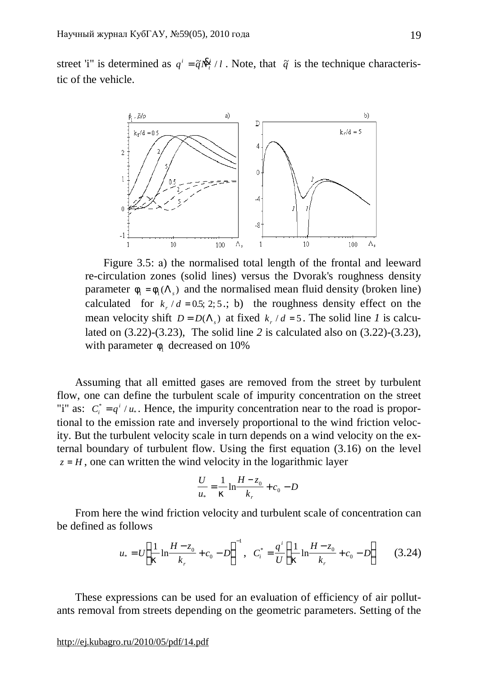street 'i" is determined as  $q^i = \tilde{q}N^i/2$ *t*  $=\tilde{q}N_t^{\hat{R}_i^i}/l$ . Note, that  $\tilde{q}$  is the technique characteristic of the vehicle.



Figure 3.5: а) the normalised total length of the frontal and leeward re-circulation zones (solid lines) versus the Dvorak's roughness density parameter  $f_1 = f_1(\Lambda_s)$  and the normalised mean fluid density (broken line) calculated for  $k_r/d = 0.5; 2; 5$ ; b) the roughness density effect on the mean velocity shift  $D = D(\Lambda_s)$  at fixed  $k_r / d = 5$ . The solid line *I* is calculated on (3.22)-(3.23), The solid line *2* is calculated also on (3.22)-(3.23), with parameter  $f_1$  decreased on 10%

Assuming that all emitted gases are removed from the street by turbulent flow, one can define the turbulent scale of impurity concentration on the street "i" as:  $C_i^* = q^i / u_*$ . Hence, the impurity concentration near to the road is proportional to the emission rate and inversely proportional to the wind friction velocity. But the turbulent velocity scale in turn depends on a wind velocity on the external boundary of turbulent flow. Using the first equation (3.16) on the level  $z = H$ , one can written the wind velocity in the logarithmic layer

$$
\frac{U}{u_*} = \frac{1}{k} \ln \frac{H - z_0}{k_r} + c_0 - D
$$

From here the wind friction velocity and turbulent scale of concentration can be defined as follows

$$
u_* = U \left( \frac{1}{k} \ln \frac{H - z_0}{k_r} + c_0 - D \right)^{-1}, \quad C_i^* = \frac{q^i}{U} \left( \frac{1}{k} \ln \frac{H - z_0}{k_r} + c_0 - D \right) \tag{3.24}
$$

These expressions can be used for an evaluation of efficiency of air pollutants removal from streets depending on the geometric parameters. Setting of the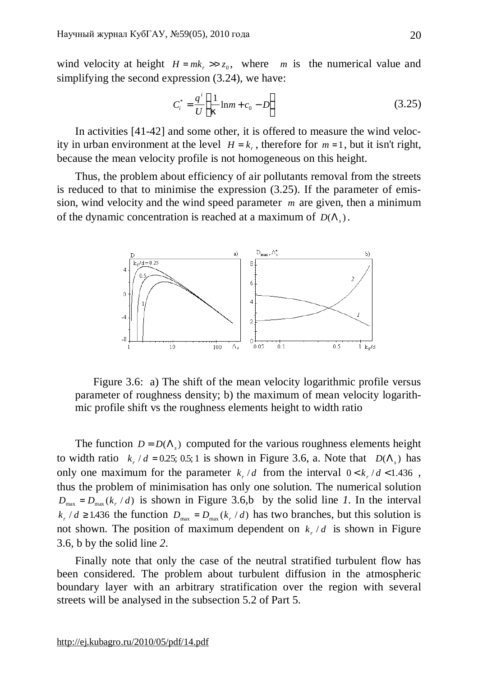wind velocity at height  $H = mk_r \gg z_0$ , where *m* is the numerical value and simplifying the second expression (3.24), we have:

$$
C_i^* = \frac{q^i}{U} \left( \frac{1}{k} \ln m + c_0 - D \right)
$$
 (3.25)

In activities [41-42] and some other, it is offered to measure the wind velocity in urban environment at the level  $H = k_r$ , therefore for  $m = 1$ , but it isn't right, because the mean velocity profile is not homogeneous on this height.

Thus, the problem about efficiency of air pollutants removal from the streets is reduced to that to minimise the expression (3.25). If the parameter of emission, wind velocity and the wind speed parameter *m* are given, then a minimum of the dynamic concentration is reached at a maximum of  $D(\Lambda_s)$ .



Figure 3.6: a) The shift of the mean velocity logarithmic profile versus parameter of roughness density; b) the maximum of mean velocity logarithmic profile shift vs the roughness elements height to width ratio

The function  $D = D(\Lambda_s)$  computed for the various roughness elements height to width ratio  $k_r/d = 0.25$ ; 0.5; 1 is shown in Figure 3.6, a. Note that  $D(\Lambda_s)$  has only one maximum for the parameter  $k_r/d$  from the interval  $0 < k_r/d < 1.436$ , thus the problem of minimisation has only one solution. The numerical solution  $D_{\text{max}} = D_{\text{max}}(k_r / d)$  is shown in Figure 3.6,b by the solid line *1*. In the interval  $k_r/d \ge 1.436$  the function  $D_{\text{max}} = D_{\text{max}}(k_r/d)$  has two branches, but this solution is not shown. The position of maximum dependent on  $k_r/d$  is shown in Figure 3.6, b by the solid line *2*.

Finally note that only the case of the neutral stratified turbulent flow has been considered. The problem about turbulent diffusion in the atmospheric boundary layer with an arbitrary stratification over the region with several streets will be analysed in the subsection 5.2 of Part 5.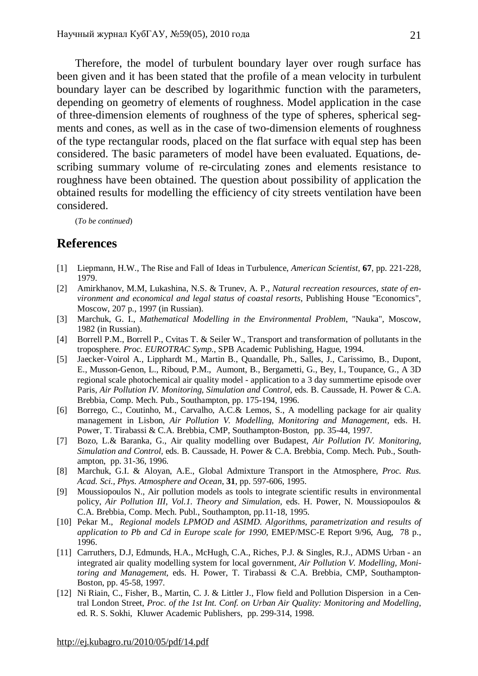Therefore, the model of turbulent boundary layer over rough surface has been given and it has been stated that the profile of a mean velocity in turbulent boundary layer can be described by logarithmic function with the parameters, depending on geometry of elements of roughness. Model application in the case of three-dimension elements of roughness of the type of spheres, spherical segments and cones, as well as in the case of two-dimension elements of roughness of the type rectangular roods, placed on the flat surface with equal step has been considered. The basic parameters of model have been evaluated. Equations, describing summary volume of re-circulating zones and elements resistance to roughness have been obtained. The question about possibility of application the obtained results for modelling the efficiency of city streets ventilation have been considered.

(*To be continued*)

# **References**

- [1] Liepmann, H.W., The Rise and Fall of Ideas in Turbulence, *American Scientist*, **67**, pp. 221-228, 1979.
- [2] Amirkhanov, M.M, Lukashina, N.S. & Trunev, A. P., *Natural recreation resources, state of environment and economical and legal status of coastal resorts*, Publishing House "Economics", Moscow, 207 p., 1997 (in Russian).
- [3] Marchuk, G. I., *Mathematical Modelling in the Environmental Problem*, "Nauka", Moscow, 1982 (in Russian).
- [4] Borrell P.M., Borrell P., Cvitas T. & Seiler W., Transport and transformation of pollutants in the troposphere. *Proc. EUROTRAC Symp.*, SPB Academic Publishing, Hague, 1994.
- [5] Jaecker-Voirol A., Lipphardt M., Martin B., Quandalle, Ph., Salles, J., Carissimo, B., Dupont, E., Musson-Genon, L., Riboud, P.M., Aumont, B., Bergametti, G., Bey, I., Toupance, G., A 3D regional scale photochemical air quality model - application to a 3 day summertime episode over Paris*, Air Pollution IV. Monitoring, Simulation and Control,* eds. B. Caussade, H. Power & C.A. Brebbia, Comp. Mech. Pub., Southampton, pp. 175-194, 1996.
- [6] Borrego, C., Coutinho, M., Carvalho, A.C.& Lemos, S., A modelling package for air quality management in Lisbon, *Air Pollution V. Modelling, Monitoring and Management,* eds. H. Power, T. Tirabassi & C.A. Brebbia, CMP, Southampton-Boston, pp. 35-44, 1997.
- [7] Bozo, L.& Baranka, G., Air quality modelling over Budapest, *Air Pollution IV. Monitoring, Simulation and Control,* eds. B. Caussade, H. Power & C.A. Brebbia, Comp. Mech. Pub., Southampton, pp. 31-36, 1996.
- [8] Marchuk, G.I. & Aloyan, A.E., Global Admixture Transport in the Atmosphere, *Proc. Rus. Acad. Sci., Phys. Atmosphere and Ocean*, **31**, pp. 597-606, 1995.
- [9] Moussiopoulos N., Air pollution models as tools to integrate scientific results in environmental policy, *Air Pollution III, Vol.1. Theory and Simulation,* eds. H. Power, N. Moussiopoulos & C.A. Brebbia, Comp. Mech. Publ., Southampton, pp.11-18, 1995.
- [10] Pekar M., *Regional models LPMOD and ASIMD. Algorithms, parametrization and results of application to Pb and Cd in Europe scale for 1990*, EMEP/MSC-E Report 9/96, Aug, 78 p., 1996.
- [11] Carruthers, D.J, Edmunds, H.A., McHugh, C.A., Riches, P.J. & Singles, R.J., ADMS Urban an integrated air quality modelling system for local government, *Air Pollution V. Modelling, Monitoring and Management,* eds. H. Power, T. Tirabassi & C.A. Brebbia, CMP, Southampton-Boston, pp. 45-58, 1997.
- [12] Ni Riain, C., Fisher, B., Martin, C. J. & Littler J., Flow field and Pollution Dispersion in a Central London Street, *Proc. of the 1st Int. Conf. on Urban Air Quality: Monitoring and Modelling*, ed. R. S. Sokhi, Kluwer Academic Publishers, pp. 299-314, 1998.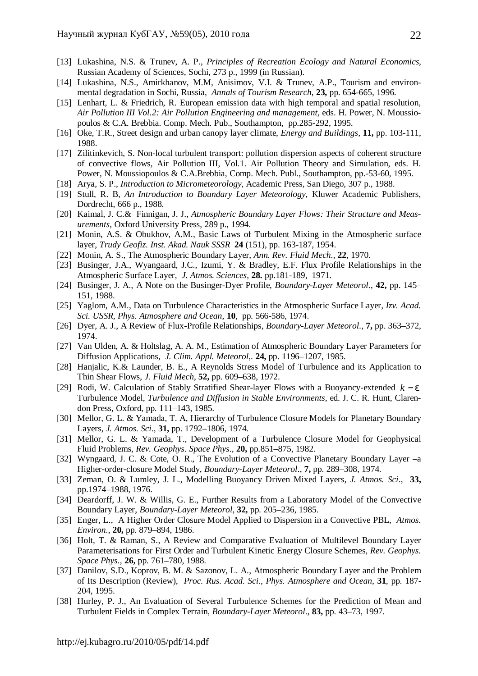- [13] Lukashina, N.S. & Trunev, A. P., *Principles of Recreation Ecology and Natural Economics,* Russian Academy of Sciences, Sochi, 273 p., 1999 (in Russian).
- [14] Lukashina, N.S., Amirkhanov, M.M, Anisimov, V.I. & Trunev, A.P., Tourism and environmental degradation in Sochi, Russia, *Annals of Tourism Research*, **23,** pp. 654-665, 1996.
- [15] Lenhart, L. & Friedrich, R. European emission data with high temporal and spatial resolution, *Air Pollution III Vol.2: Air Pollution Engineering and management*, eds. H. Power, N. Moussiopoulos & C.A. Brebbia. Comp. Mech. Pub., Southampton, pp.285-292, 1995.
- [16] Oke, T.R., Street design and urban canopy layer climate, *Energy and Buildings,* **11,** pp. 103-111, 1988.
- [17] Zilitinkevich, S. Non-local turbulent transport: pollution dispersion aspects of coherent structure of convective flows, Air Pollution III, Vol.1. Air Pollution Theory and Simulation, eds. H. Power, N. Moussiopoulos & C.A.Brebbia, Comp. Mech. Publ., Southampton, рр.-53-60, 1995.
- [18] Arya, S. P., *Introduction to Micrometeorology*, Academic Press, San Diego, 307 p., 1988.
- [19] Stull, R. B, *An Introduction to Boundary Layer Meteorology*, Kluwer Academic Publishers, Dordrecht, 666 p., 1988.
- [20] Kaimal, J. C.& Finnigan, J. J., *Atmospheric Boundary Layer Flows: Their Structure and Measurements*, Oxford University Press, 289 p., 1994.
- [21] Monin, A.S. & Obukhov, A.M., Basic Laws of Turbulent Mixing in the Atmospheric surface layer, *Trudy Geofiz. Inst. Akad. Nauk SSSR* **24** (151), pp. 163-187, 1954.
- [22] Monin, A. S., The Atmospheric Boundary Layer, *Ann. Rev. Fluid Mech*., **22**, 1970.
- [23] Businger, J.A., Wyangaard, J.C., Izumi, Y. & Bradley, E.F. Flux Profile Relationships in the Atmospheric Surface Layer, *J. Atmos. Sciences*, **28.** pp.181-189, 1971.
- [24] Businger, J. A., A Note on the Businger-Dyer Profile, *Boundary-Layer Meteorol.*, **42,** pp. 145– 151, 1988.
- [25] Yaglom, A.M., Data on Turbulence Characteristics in the Atmospheric Surface Layer, *Izv. Acad. Sci. USSR, Phys. Atmosphere and Ocean,* **10**, pp. 566-586, 1974.
- [26] Dyer, A. J., A Review of Flux-Profile Relationships, *Boundary-Layer Meteorol.*, **7,** pp. 363–372, 1974.
- [27] Van Ulden, A. & Holtslag, A. A. M., Estimation of Atmospheric Boundary Layer Parameters for Diffusion Applications, *J. Clim. Appl. Meteorol*,. **24,** pp. 1196–1207, 1985.
- [28] Hanjalic, K.& Launder, B. E., A Reynolds Stress Model of Turbulence and its Application to Thin Shear Flows, *J. Fluid Mech*, **52,** pp. 609–638, 1972.
- [29] Rodi, W. Calculation of Stably Stratified Shear-layer Flows with a Buoyancy-extended *k* − *e* Turbulence Model, *Turbulence and Diffusion in Stable Environments*, ed. J. C. R. Hunt, Clarendon Press, Oxford, pp. 111–143, 1985.
- [30] Mellor, G. L. & Yamada, T. A, Hierarchy of Turbulence Closure Models for Planetary Boundary Layers, *J. Atmos. Sci*., **31,** pp. 1792–1806, 1974.
- [31] Mellor, G. L. & Yamada, T., Development of a Turbulence Closure Model for Geophysical Fluid Problems, *Rev. Geophys. Space Phys*., **20,** pp.851–875, 1982.
- [32] Wyngaard, J. C. & Cote, O. R., The Evolution of a Convective Planetary Boundary Layer –a Higher-order-closure Model Study, *Boundary-Layer Meteorol*., **7,** pp. 289–308, 1974.
- [33] Zeman, O. & Lumley, J. L., Modelling Buoyancy Driven Mixed Layers, *J. Atmos. Sci*., **33,**  pp.1974–1988, 1976.
- [34] Deardorff, J. W. & Willis, G. E., Further Results from a Laboratory Model of the Convective Boundary Layer, *Boundary-Layer Meteorol*, **32,** pp. 205–236, 1985.
- [35] Enger, L., A Higher Order Closure Model Applied to Dispersion in a Convective PBL, *Atmos. Environ*., **20,** pp. 879–894, 1986.
- [36] Holt, T. & Raman, S., A Review and Comparative Evaluation of Multilevel Boundary Layer Parameterisations for First Order and Turbulent Kinetic Energy Closure Schemes, *Rev. Geophys. Space Phys.*, **26,** pp. 761–780, 1988.
- [37] Danilov, S.D., Koprov, B. M. & Sazonov, L. A., Atmospheric Boundary Layer and the Problem of Its Description (Review), *Proc. Rus. Acad. Sci., Phys. Atmosphere and Ocean*, **31**, pp. 187- 204, 1995.
- [38] Hurley, P. J., An Evaluation of Several Turbulence Schemes for the Prediction of Mean and Turbulent Fields in Complex Terrain, *Boundary-Layer Meteorol*., **83,** pp. 43–73, 1997.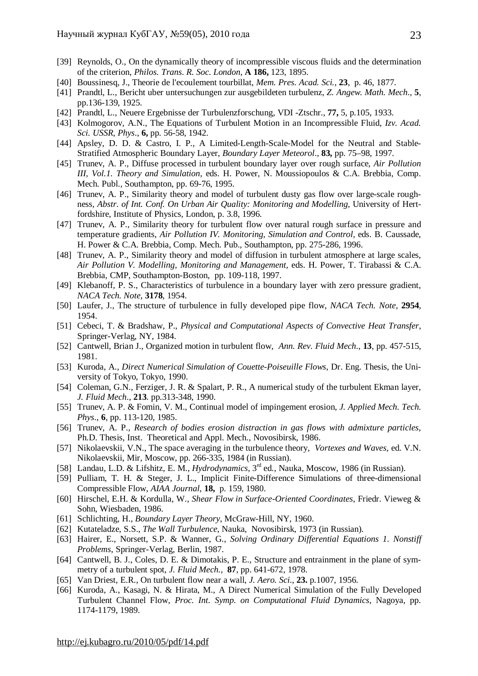- [39] Reynolds, O., On the dynamically theory of incompressible viscous fluids and the determination of the criterion, *Philos. Trans. R. Soc. London*, **A 186,** 123, 1895.
- [40] Boussinesq, J., Theorie de l'ecoulement tourbillat, *Mem. Pres. Acad. Sci.*, **23**, p. 46, 1877.
- [41] Prandtl, L., Bericht uber untersuchungen zur ausgebildeten turbulenz, *Z. Angew. Math. Mech*., **5**, pp.136-139, 1925.
- [42] Prandtl, L., Neuere Ergebnisse der Turbulenzforschung, VDI -Ztschr., **77,** 5, p.105, 1933.
- [43] Kolmogorov, A.N., The Equations of Turbulent Motion in an Incompressible Fluid, *Izv. Acad. Sci. USSR, Phys*., **6,** pp. 56-58, 1942.
- [44] Apsley, D. D. & Castro, I. P., A Limited-Length-Scale-Model for the Neutral and Stable-Stratified Atmospheric Boundary Layer, *Boundary Layer Meteorol*., **83,** pp. 75–98, 1997.
- [45] Trunev, A. P., Diffuse processed in turbulent boundary layer over rough surface, *Air Pollution III, Vol.1. Theory and Simulation,* eds. H. Power, N. Moussiopoulos & C.A. Brebbia, Comp. Mech. Publ., Southampton, pp. 69-76, 1995.
- [46] Trunev, A. P., Similarity theory and model of turbulent dusty gas flow over large-scale roughness, *Abstr. of Int. Conf. On Urban Air Quality: Monitoring and Modelling*, University of Hertfordshire, Institute of Physics, London, p. 3.8, 1996.
- [47] Trunev, A. P., Similarity theory for turbulent flow over natural rough surface in pressure and temperature gradients, *Air Pollution IV. Monitoring, Simulation and Control,* eds. B. Caussade, H. Power & C.A. Brebbia, Comp. Mech. Pub., Southampton, pp. 275-286, 1996.
- [48] Trunev, A. P., Similarity theory and model of diffusion in turbulent atmosphere at large scales, *Air Pollution V. Modelling, Monitoring and Management,* eds. H. Power, T. Tirabassi & C.A. Brebbia, CMP, Southampton-Boston, pp. 109-118, 1997.
- [49] Klebanoff, P. S., Characteristics of turbulence in a boundary layer with zero pressure gradient, *NACA Tech. Note*, **3178**, 1954.
- [50] Laufer, J., The structure of turbulence in fully developed pipe flow, *NACA Tech. Note*, **2954**, 1954.
- [51] Cebeci, T. & Bradshaw, P., *Physical and Computational Aspects of Convective Heat Transfer*, Springer-Verlag, NY, 1984.
- [52] Cantwell, Brian J., Organized motion in turbulent flow, *Ann. Rev. Fluid Mech*., **13**, pp. 457-515, 1981.
- [53] Kuroda, A., *Direct Numerical Simulation of Couette-Poiseuille Flows*, Dr. Eng. Thesis, the University of Tokyo, Tokyo, 1990.
- [54] Coleman, G.N., Ferziger, J. R. & Spalart, P. R., A numerical study of the turbulent Ekman layer, *J. Fluid Mech*., **213**. pp.313-348, 1990.
- [55] Trunev, A. P. & Fomin, V. M., Continual model of impingement erosion, *J. Applied Mech. Tech. Phys*., **6**, pp. 113-120, 1985.
- [56] Trunev, A. P., *Research of bodies erosion distraction in gas flows with admixture particles*, Ph.D. Thesis, Inst. Theoretical and Appl. Mech., Novosibirsk, 1986.
- [57] Nikolaevskii, V.N., The space averaging in the turbulence theory, *Vortexes and Waves,* ed. V.N. Nikolaevskii, Mir, Moscow, pp. 266-335, 1984 (in Russian).
- [58] Landau, L.D. & Lifshitz, E. M., *Hydrodynamics*, 3rd ed., Nauka, Moscow, 1986 (in Russian).
- [59] Pulliam, T. H. & Steger, J. L., Implicit Finite-Difference Simulations of three-dimensional Compressible Flow, *AIAA Journal*, **18,** p. 159, 1980.
- [60] Hirschel, E.H. & Kordulla, W., *Shear Flow in Surface-Oriented Coordinates*, Friedr. Vieweg & Sohn, Wiesbaden, 1986.
- [61] Schlichting, H., *Boundary Layer Theory*, McGraw-Hill, NY, 1960.
- [62] Kutateladze, S.S., *The Wall Turbulence*, Nauka, Novosibirsk, 1973 (in Russian).
- [63] Hairer, E., Norsett, S.P. & Wanner, G., *Solving Ordinary Differential Equations 1. Nonstiff Problems*, Springer-Verlag, Berlin, 1987.
- [64] Cantwell, B. J., Coles, D. E. & Dimotakis, P. E., Structure and entrainment in the plane of symmetry of a turbulent spot, *J. Fluid Mech.*, **87**, pp. 641-672, 1978.
- [65] Van Driest, E.R., On turbulent flow near a wall, *J. Aero. Sci*., **23.** p.1007, 1956.
- [66] Kuroda, A., Kasagi, N. & Hirata, M., A Direct Numerical Simulation of the Fully Developed Turbulent Channel Flow, *Proc. Int. Symp. on Computational Fluid Dynamics*, Nagoya, pp. 1174-1179, 1989.

<http://ej.kubagro.ru/2010/05/pdf/14.pdf>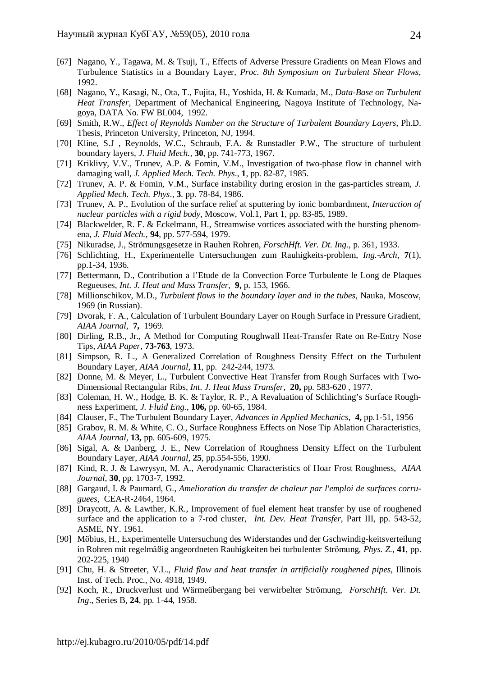- [67] Nagano, Y., Tagawa, M. & Tsuji, T., Effects of Adverse Pressure Gradients on Mean Flows and Turbulence Statistics in a Boundary Layer, *Proc. 8th Symposium on Turbulent Shear Flows*, 1992.
- [68] Nagano, Y., Kasagi, N., Ota, T., Fujita, H., Yoshida, H. & Kumada, M., *Data-Base on Turbulent Heat Transfer*, Department of Mechanical Engineering, Nagoya Institute of Technology, Nagoya, DATA No. FW BL004, 1992.
- [69] Smith, R.W., *Effect of Reynolds Number on the Structure of Turbulent Boundary Layers*, Ph.D. Thesis, Princeton University, Princeton, NJ, 1994.
- [70] Kline, S.J , Reynolds, W.C., Schraub, F.A. & Runstadler P.W., The structure of turbulent boundary layers, *J. Fluid Mech.,* **30**, pp. 741-773, 1967.
- [71] Kriklivy, V.V., Trunev, A.P. & Fomin, V.M., Investigation of two-phase flow in channel with damaging wall*, J. Applied Mech. Tech. Phys*., **1**, pp. 82-87, 1985.
- [72] Trunev, A. P. & Fomin, V.M., Surface instability during erosion in the gas-particles stream, *J. Applied Mech. Tech. Phys*., **3**. pp. 78-84, 1986.
- [73] Trunev, A. P., Evolution of the surface relief at sputtering by ionic bombardment, *Interaction of nuclear particles with a rigid body*, Moscow, Vol.1, Part 1, pp. 83-85, 1989.
- [74] Blackwelder, R. F. & Eckelmann, H., Streamwise vortices associated with the bursting phenomena, *J. Fluid Mech.,* **94**, pp. 577-594, 1979.
- [75] Nikuradse, J., Strömungsgesetze in Rauhen Rohren, *ForschHft. Ver. Dt. Ing.*, p. 361, 1933.
- [76] Schlichting, H., Experimentelle Untersuchungen zum Rauhigkeits-problem, *Ing.-Arch,* **7**(1), pp.1-34, 1936.
- [77] Bettermann, D., Contribution a l'Etude de la Convection Force Turbulente le Long de Plaques Regueuses, *Int. J. Heat and Mass Transfer*, **9,** p. 153, 1966.
- [78] Millionschikov, M.D., *Turbulent flows in the boundary layer and in the tubes*, Nauka, Moscow, 1969 (in Russian).
- [79] Dvorak, F. A., Calculation of Turbulent Boundary Layer on Rough Surface in Pressure Gradient, *AIAA Journal*, **7,** 1969.
- [80] Dirling, R.B., Jr., A Method for Computing Roughwall Heat-Transfer Rate on Re-Entry Nose Tips, *AIAA Paper*, **73-763**, 1973.
- [81] Simpson, R. L., A Generalized Correlation of Roughness Density Effect on the Turbulent Boundary Layer, *AIAA Journal,* **11**, pp. 242-244, 1973.
- [82] Donne, M. & Meyer, L., Turbulent Convective Heat Transfer from Rough Surfaces with Two-Dimensional Rectangular Ribs, *Int. J. Heat Mass Transfer,* **20,** pp. 583-620 , 1977.
- [83] Coleman, H. W., Hodge, B. K. & Taylor, R. P., A Revaluation of Schlichting's Surface Roughness Experiment, *J. Fluid Eng*., **106,** pp. 60-65, 1984.
- [84] Clauser, F., The Turbulent Boundary Layer, *Advances in Applied Mechanics*, **4,** pp.1-51, 1956
- [85] Grabov, R. M. & White, C. O., Surface Roughness Effects on Nose Tip Ablation Characteristics, *AIAA Journal,* **13,** pp. 605-609, 1975.
- [86] Sigal, A. & Danberg, J. E., New Correlation of Roughness Density Effect on the Turbulent Boundary Layer, *AIAA Journal*, **25**, pp.554-556, 1990.
- [87] Kind, R. J. & Lawrysyn, M. A., Aerodynamic Characteristics of Hoar Frost Roughness, *AIAA Journal*, **30**, pp. 1703-7, 1992.
- [88] Gargaud, I. & Paumard, G., *Amelioration du transfer de chaleur par l'emploi de surfaces corruguees*, CEA-R-2464, 1964.
- [89] Draycott, A. & Lawther, K.R., Improvement of fuel element heat transfer by use of roughened surface and the application to a 7-rod cluster, *Int. Dev. Heat Transfer*, Part III, pp. 543-52, ASME, NY. 1961.
- [90] Möbius, H., Experimentelle Untersuchung des Widerstandes und der Gschwindig-keitsverteilung in Rohren mit regelmäßig angeordneten Rauhigkeiten bei turbulenter Strömung, *Phys. Z.,* **41**, pp. 202-225, 1940
- [91] Chu, H. & Streeter, V.L., *Fluid flow and heat transfer in artificially roughened pipes,* Illinois Inst. of Tech. Proc., No. 4918, 1949.
- [92] Koch, R., Druckverlust und Wärmeübergang bei verwirbelter Strömung, *ForschHft. Ver. Dt. Ing*., Series B, **24**, pp. 1-44, 1958.